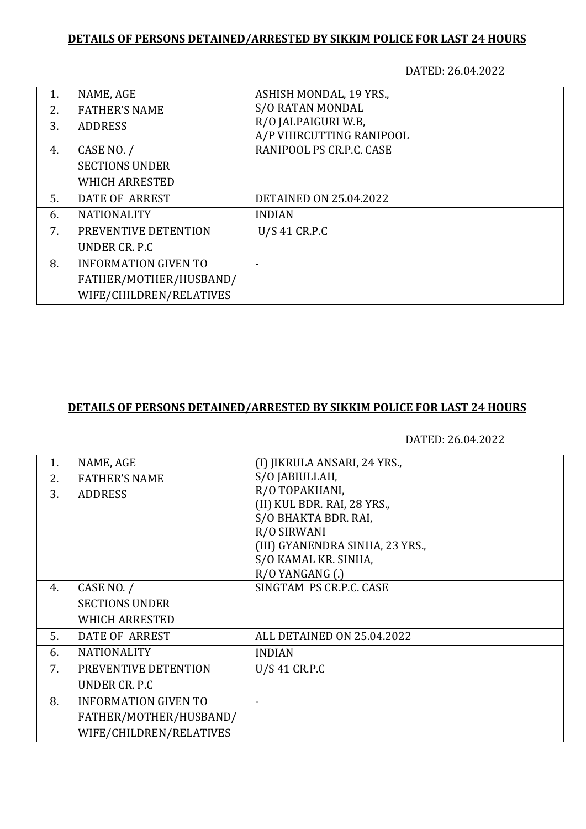DATED: 26.04.2022

| 1. | NAME, AGE                   | ASHISH MONDAL, 19 YRS.,       |
|----|-----------------------------|-------------------------------|
| 2. | <b>FATHER'S NAME</b>        | <b>S/O RATAN MONDAL</b>       |
| 3. | <b>ADDRESS</b>              | R/O JALPAIGURI W.B,           |
|    |                             | A/P VHIRCUTTING RANIPOOL      |
| 4. | CASE NO. /                  | RANIPOOL PS CR.P.C. CASE      |
|    | <b>SECTIONS UNDER</b>       |                               |
|    | <b>WHICH ARRESTED</b>       |                               |
| 5. | DATE OF ARREST              | <b>DETAINED ON 25.04.2022</b> |
| 6. | <b>NATIONALITY</b>          | <b>INDIAN</b>                 |
| 7. | PREVENTIVE DETENTION        | U/S 41 CR.P.C                 |
|    | UNDER CR. P.C.              |                               |
| 8. | <b>INFORMATION GIVEN TO</b> |                               |
|    | FATHER/MOTHER/HUSBAND/      |                               |
|    | WIFE/CHILDREN/RELATIVES     |                               |

#### **DETAILS OF PERSONS DETAINED/ARRESTED BY SIKKIM POLICE FOR LAST 24 HOURS**

| NAME, AGE                   | (I) JIKRULA ANSARI, 24 YRS.,    |
|-----------------------------|---------------------------------|
| <b>FATHER'S NAME</b>        | S/O JABIULLAH,                  |
| <b>ADDRESS</b>              | R/O TOPAKHANI,                  |
|                             | (II) KUL BDR. RAI, 28 YRS.,     |
|                             | S/O BHAKTA BDR. RAI,            |
|                             | R/O SIRWANI                     |
|                             | (III) GYANENDRA SINHA, 23 YRS., |
|                             | S/O KAMAL KR. SINHA,            |
|                             | $R/O$ YANGANG $(.)$             |
|                             | SINGTAM PS CR.P.C. CASE         |
| <b>SECTIONS UNDER</b>       |                                 |
| <b>WHICH ARRESTED</b>       |                                 |
| DATE OF ARREST              | ALL DETAINED ON 25.04.2022      |
| <b>NATIONALITY</b>          | <b>INDIAN</b>                   |
| PREVENTIVE DETENTION        | $U/S$ 41 CR.P.C                 |
| UNDER CR. P.C.              |                                 |
| <b>INFORMATION GIVEN TO</b> |                                 |
| FATHER/MOTHER/HUSBAND/      |                                 |
| WIFE/CHILDREN/RELATIVES     |                                 |
|                             | CASE NO. /                      |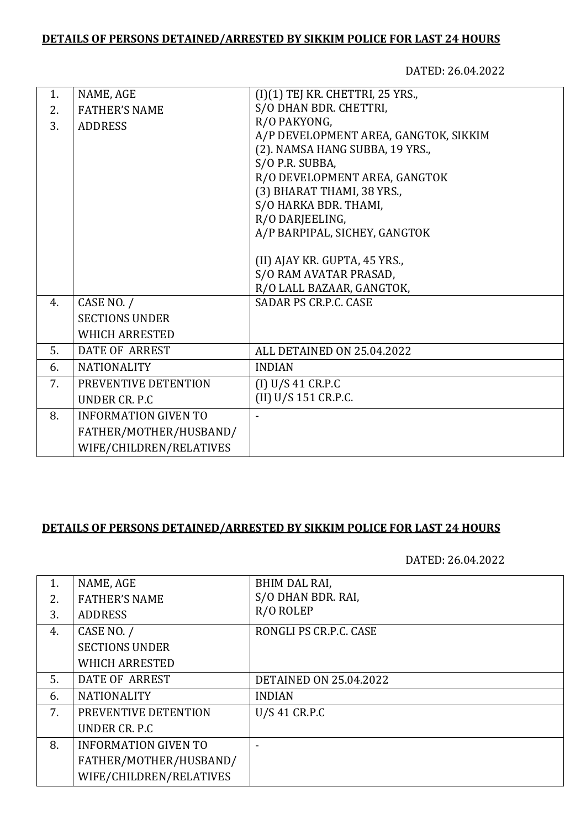DATED: 26.04.2022

| 1. | NAME, AGE                   | (I)(1) TEJ KR. CHETTRI, 25 YRS.,      |
|----|-----------------------------|---------------------------------------|
| 2. | <b>FATHER'S NAME</b>        | S/O DHAN BDR. CHETTRI,                |
| 3. | <b>ADDRESS</b>              | R/O PAKYONG,                          |
|    |                             | A/P DEVELOPMENT AREA, GANGTOK, SIKKIM |
|    |                             | (2). NAMSA HANG SUBBA, 19 YRS.,       |
|    |                             | S/O P.R. SUBBA,                       |
|    |                             | R/O DEVELOPMENT AREA, GANGTOK         |
|    |                             | (3) BHARAT THAMI, 38 YRS.,            |
|    |                             | S/O HARKA BDR. THAMI,                 |
|    |                             | R/O DARJEELING,                       |
|    |                             | A/P BARPIPAL, SICHEY, GANGTOK         |
|    |                             |                                       |
|    |                             | (II) AJAY KR. GUPTA, 45 YRS.,         |
|    |                             | S/O RAM AVATAR PRASAD,                |
|    |                             | R/O LALL BAZAAR, GANGTOK,             |
| 4. | CASE NO. /                  | <b>SADAR PS CR.P.C. CASE</b>          |
|    | <b>SECTIONS UNDER</b>       |                                       |
|    | <b>WHICH ARRESTED</b>       |                                       |
| 5. | <b>DATE OF ARREST</b>       | ALL DETAINED ON 25.04.2022            |
| 6. | <b>NATIONALITY</b>          | <b>INDIAN</b>                         |
| 7. | PREVENTIVE DETENTION        | (I) U/S 41 C R.P.C                    |
|    | UNDER CR. P.C.              | (II) U/S 151 CR.P.C.                  |
| 8. | <b>INFORMATION GIVEN TO</b> |                                       |
|    | FATHER/MOTHER/HUSBAND/      |                                       |
|    | WIFE/CHILDREN/RELATIVES     |                                       |
|    |                             |                                       |

### **DETAILS OF PERSONS DETAINED/ARRESTED BY SIKKIM POLICE FOR LAST 24 HOURS**

| 1. | NAME, AGE                   | BHIM DAL RAI,                 |
|----|-----------------------------|-------------------------------|
| 2. | <b>FATHER'S NAME</b>        | S/O DHAN BDR. RAI,            |
| 3. | <b>ADDRESS</b>              | R/O ROLEP                     |
| 4. | CASE NO. /                  | RONGLI PS CR.P.C. CASE        |
|    | <b>SECTIONS UNDER</b>       |                               |
|    | <b>WHICH ARRESTED</b>       |                               |
| 5. | DATE OF ARREST              | <b>DETAINED ON 25.04.2022</b> |
| 6. | <b>NATIONALITY</b>          | <b>INDIAN</b>                 |
| 7. | PREVENTIVE DETENTION        | U/S 41 CR.P.C                 |
|    | UNDER CR. P.C.              |                               |
| 8. | <b>INFORMATION GIVEN TO</b> |                               |
|    | FATHER/MOTHER/HUSBAND/      |                               |
|    | WIFE/CHILDREN/RELATIVES     |                               |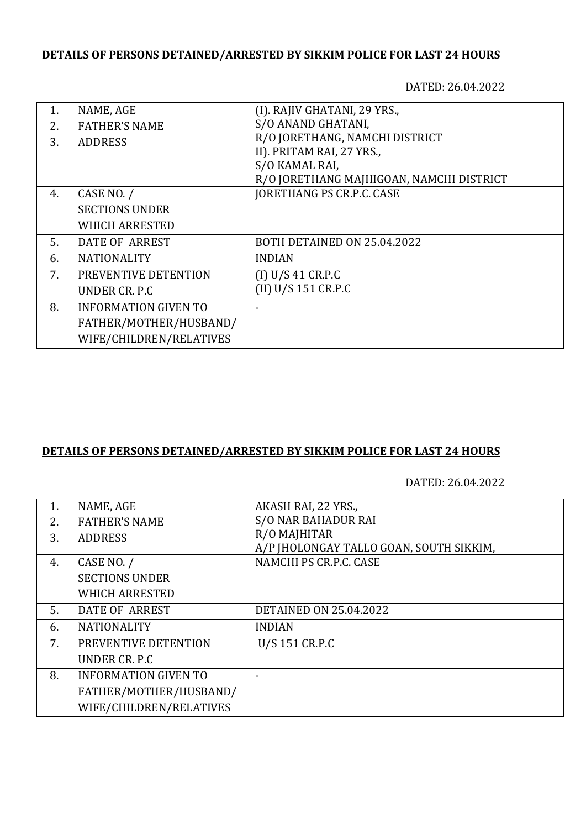DATED: 26.04.2022

| 1. | NAME, AGE                   | (I). RAJIV GHATANI, 29 YRS.,             |
|----|-----------------------------|------------------------------------------|
| 2. | <b>FATHER'S NAME</b>        | S/O ANAND GHATANI,                       |
| 3. | <b>ADDRESS</b>              | R/O JORETHANG, NAMCHI DISTRICT           |
|    |                             | II). PRITAM RAI, 27 YRS.,                |
|    |                             | S/O KAMAL RAI,                           |
|    |                             | R/O JORETHANG MAJHIGOAN, NAMCHI DISTRICT |
| 4. | CASE NO. /                  | JORETHANG PS CR.P.C. CASE                |
|    | <b>SECTIONS UNDER</b>       |                                          |
|    | <b>WHICH ARRESTED</b>       |                                          |
| 5. | DATE OF ARREST              | BOTH DETAINED ON 25.04.2022              |
| 6. | <b>NATIONALITY</b>          | <b>INDIAN</b>                            |
| 7. | PREVENTIVE DETENTION        | (I) U/S 41 CR.P.C                        |
|    | UNDER CR. P.C.              | (II) U/S 151 CR.P.C                      |
| 8. | <b>INFORMATION GIVEN TO</b> |                                          |
|    | FATHER/MOTHER/HUSBAND/      |                                          |
|    | WIFE/CHILDREN/RELATIVES     |                                          |

# **DETAILS OF PERSONS DETAINED/ARRESTED BY SIKKIM POLICE FOR LAST 24 HOURS**

| 1. | NAME, AGE                   | AKASH RAI, 22 YRS.,                     |
|----|-----------------------------|-----------------------------------------|
| 2. | <b>FATHER'S NAME</b>        | S/O NAR BAHADUR RAI                     |
| 3. | <b>ADDRESS</b>              | R/O MAJHITAR                            |
|    |                             | A/P JHOLONGAY TALLO GOAN, SOUTH SIKKIM, |
| 4. | CASE NO. /                  | NAMCHI PS CR.P.C. CASE                  |
|    | <b>SECTIONS UNDER</b>       |                                         |
|    | <b>WHICH ARRESTED</b>       |                                         |
| 5. | DATE OF ARREST              | <b>DETAINED ON 25.04.2022</b>           |
| 6. | <b>NATIONALITY</b>          | <b>INDIAN</b>                           |
| 7. | PREVENTIVE DETENTION        | U/S 151 CR.P.C                          |
|    | UNDER CR. P.C.              |                                         |
| 8. | <b>INFORMATION GIVEN TO</b> |                                         |
|    | FATHER/MOTHER/HUSBAND/      |                                         |
|    | WIFE/CHILDREN/RELATIVES     |                                         |
|    |                             |                                         |